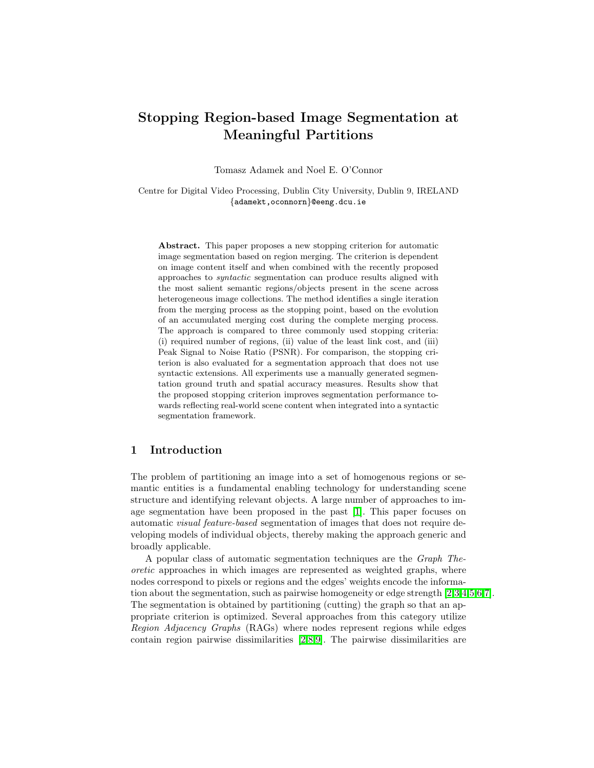# Stopping Region-based Image Segmentation at Meaningful Partitions

Tomasz Adamek and Noel E. O'Connor

Centre for Digital Video Processing, Dublin City University, Dublin 9, IRELAND {adamekt,oconnorn}@eeng.dcu.ie

Abstract. This paper proposes a new stopping criterion for automatic image segmentation based on region merging. The criterion is dependent on image content itself and when combined with the recently proposed approaches to syntactic segmentation can produce results aligned with the most salient semantic regions/objects present in the scene across heterogeneous image collections. The method identifies a single iteration from the merging process as the stopping point, based on the evolution of an accumulated merging cost during the complete merging process. The approach is compared to three commonly used stopping criteria: (i) required number of regions, (ii) value of the least link cost, and (iii) Peak Signal to Noise Ratio (PSNR). For comparison, the stopping criterion is also evaluated for a segmentation approach that does not use syntactic extensions. All experiments use a manually generated segmentation ground truth and spatial accuracy measures. Results show that the proposed stopping criterion improves segmentation performance towards reflecting real-world scene content when integrated into a syntactic segmentation framework.

### 1 Introduction

The problem of partitioning an image into a set of homogenous regions or semantic entities is a fundamental enabling technology for understanding scene structure and identifying relevant objects. A large number of approaches to image segmentation have been proposed in the past [\[1\]](#page-9-0). This paper focuses on automatic visual feature-based segmentation of images that does not require developing models of individual objects, thereby making the approach generic and broadly applicable.

A popular class of automatic segmentation techniques are the Graph Theoretic approaches in which images are represented as weighted graphs, where nodes correspond to pixels or regions and the edges' weights encode the information about the segmentation, such as pairwise homogeneity or edge strength [\[2,](#page-9-1)[3,](#page-10-0)[4](#page-10-1)[,5](#page-10-2)[,6,](#page-10-3)[7\]](#page-10-4). The segmentation is obtained by partitioning (cutting) the graph so that an appropriate criterion is optimized. Several approaches from this category utilize Region Adjacency Graphs (RAGs) where nodes represent regions while edges contain region pairwise dissimilarities [\[2,](#page-9-1)[8,](#page-10-5)[9\]](#page-10-6). The pairwise dissimilarities are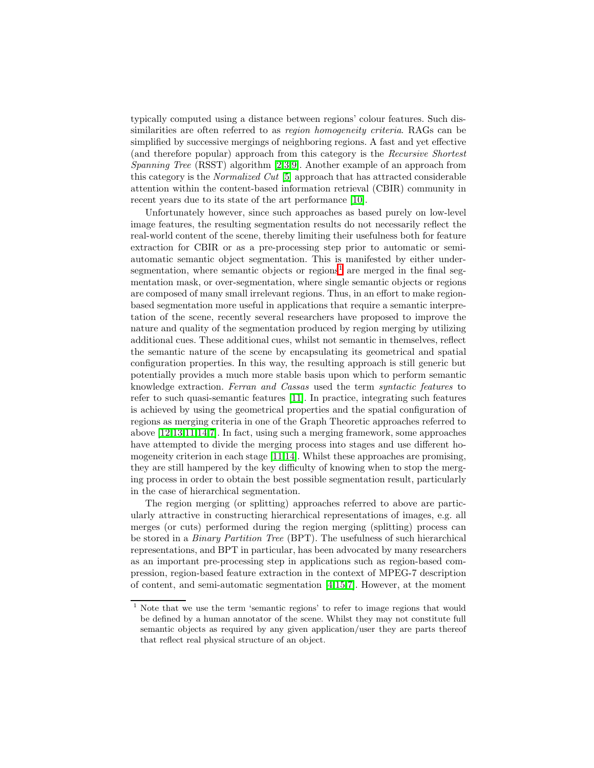typically computed using a distance between regions' colour features. Such dissimilarities are often referred to as *region homogeneity criteria*. RAGs can be simplified by successive mergings of neighboring regions. A fast and yet effective (and therefore popular) approach from this category is the Recursive Shortest Spanning Tree (RSST) algorithm [\[2](#page-9-1)[,3,](#page-10-0)[9\]](#page-10-6). Another example of an approach from this category is the Normalized Cut [\[5\]](#page-10-2) approach that has attracted considerable attention within the content-based information retrieval (CBIR) community in recent years due to its state of the art performance [\[10\]](#page-10-7).

Unfortunately however, since such approaches as based purely on low-level image features, the resulting segmentation results do not necessarily reflect the real-world content of the scene, thereby limiting their usefulness both for feature extraction for CBIR or as a pre-processing step prior to automatic or semiautomatic semantic object segmentation. This is manifested by either under-segmentation, where semantic objects or regions<sup>[1](#page-1-0)</sup> are merged in the final segmentation mask, or over-segmentation, where single semantic objects or regions are composed of many small irrelevant regions. Thus, in an effort to make regionbased segmentation more useful in applications that require a semantic interpretation of the scene, recently several researchers have proposed to improve the nature and quality of the segmentation produced by region merging by utilizing additional cues. These additional cues, whilst not semantic in themselves, reflect the semantic nature of the scene by encapsulating its geometrical and spatial configuration properties. In this way, the resulting approach is still generic but potentially provides a much more stable basis upon which to perform semantic knowledge extraction. Ferran and Cassas used the term syntactic features to refer to such quasi-semantic features [\[11\]](#page-10-8). In practice, integrating such features is achieved by using the geometrical properties and the spatial configuration of regions as merging criteria in one of the Graph Theoretic approaches referred to above [\[12](#page-10-9)[,13,](#page-10-10)[11,](#page-10-8)[14](#page-10-11)[,7\]](#page-10-4). In fact, using such a merging framework, some approaches have attempted to divide the merging process into stages and use different homogeneity criterion in each stage [\[11](#page-10-8)[,14\]](#page-10-11). Whilst these approaches are promising, they are still hampered by the key difficulty of knowing when to stop the merging process in order to obtain the best possible segmentation result, particularly in the case of hierarchical segmentation.

The region merging (or splitting) approaches referred to above are particularly attractive in constructing hierarchical representations of images, e.g. all merges (or cuts) performed during the region merging (splitting) process can be stored in a Binary Partition Tree (BPT). The usefulness of such hierarchical representations, and BPT in particular, has been advocated by many researchers as an important pre-processing step in applications such as region-based compression, region-based feature extraction in the context of MPEG-7 description of content, and semi-automatic segmentation [\[4,](#page-10-1)[15](#page-10-12)[,7\]](#page-10-4). However, at the moment

<span id="page-1-0"></span><sup>&</sup>lt;sup>1</sup> Note that we use the term 'semantic regions' to refer to image regions that would be defined by a human annotator of the scene. Whilst they may not constitute full semantic objects as required by any given application/user they are parts thereof that reflect real physical structure of an object.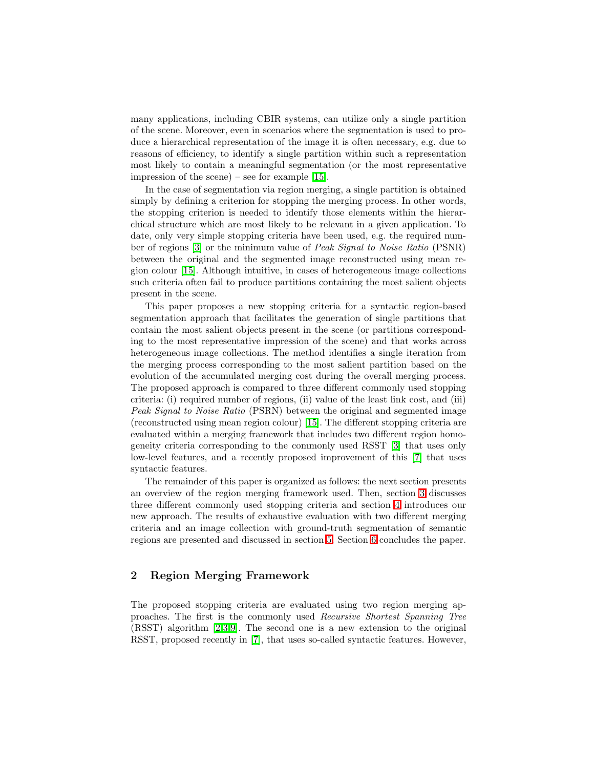many applications, including CBIR systems, can utilize only a single partition of the scene. Moreover, even in scenarios where the segmentation is used to produce a hierarchical representation of the image it is often necessary, e.g. due to reasons of efficiency, to identify a single partition within such a representation most likely to contain a meaningful segmentation (or the most representative impression of the scene) – see for example [\[15\]](#page-10-12).

In the case of segmentation via region merging, a single partition is obtained simply by defining a criterion for stopping the merging process. In other words, the stopping criterion is needed to identify those elements within the hierarchical structure which are most likely to be relevant in a given application. To date, only very simple stopping criteria have been used, e.g. the required number of regions [\[3\]](#page-10-0) or the minimum value of Peak Signal to Noise Ratio (PSNR) between the original and the segmented image reconstructed using mean region colour [\[15\]](#page-10-12). Although intuitive, in cases of heterogeneous image collections such criteria often fail to produce partitions containing the most salient objects present in the scene.

This paper proposes a new stopping criteria for a syntactic region-based segmentation approach that facilitates the generation of single partitions that contain the most salient objects present in the scene (or partitions corresponding to the most representative impression of the scene) and that works across heterogeneous image collections. The method identifies a single iteration from the merging process corresponding to the most salient partition based on the evolution of the accumulated merging cost during the overall merging process. The proposed approach is compared to three different commonly used stopping criteria: (i) required number of regions, (ii) value of the least link cost, and (iii) Peak Signal to Noise Ratio (PSRN) between the original and segmented image (reconstructed using mean region colour) [\[15\]](#page-10-12). The different stopping criteria are evaluated within a merging framework that includes two different region homogeneity criteria corresponding to the commonly used RSST [\[3\]](#page-10-0) that uses only low-level features, and a recently proposed improvement of this [\[7\]](#page-10-4) that uses syntactic features.

The remainder of this paper is organized as follows: the next section presents an overview of the region merging framework used. Then, section [3](#page-4-0) discusses three different commonly used stopping criteria and section [4](#page-5-0) introduces our new approach. The results of exhaustive evaluation with two different merging criteria and an image collection with ground-truth segmentation of semantic regions are presented and discussed in section [5.](#page-7-0) Section [6](#page-9-2) concludes the paper.

# 2 Region Merging Framework

The proposed stopping criteria are evaluated using two region merging approaches. The first is the commonly used Recursive Shortest Spanning Tree (RSST) algorithm [\[2](#page-9-1)[,3,](#page-10-0)[9\]](#page-10-6). The second one is a new extension to the original RSST, proposed recently in [\[7\]](#page-10-4), that uses so-called syntactic features. However,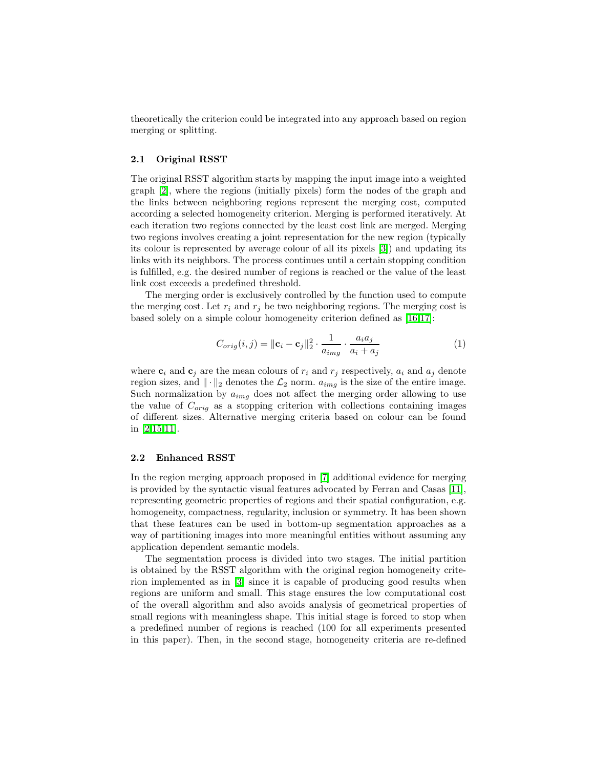theoretically the criterion could be integrated into any approach based on region merging or splitting.

### 2.1 Original RSST

The original RSST algorithm starts by mapping the input image into a weighted graph [\[2\]](#page-9-1), where the regions (initially pixels) form the nodes of the graph and the links between neighboring regions represent the merging cost, computed according a selected homogeneity criterion. Merging is performed iteratively. At each iteration two regions connected by the least cost link are merged. Merging two regions involves creating a joint representation for the new region (typically its colour is represented by average colour of all its pixels [\[3\]](#page-10-0)) and updating its links with its neighbors. The process continues until a certain stopping condition is fulfilled, e.g. the desired number of regions is reached or the value of the least link cost exceeds a predefined threshold.

The merging order is exclusively controlled by the function used to compute the merging cost. Let  $r_i$  and  $r_j$  be two neighboring regions. The merging cost is based solely on a simple colour homogeneity criterion defined as [\[16](#page-10-13)[,17\]](#page-10-14):

$$
C_{orig}(i,j) = \|\mathbf{c}_i - \mathbf{c}_j\|_2^2 \cdot \frac{1}{a_{img}} \cdot \frac{a_i a_j}{a_i + a_j} \tag{1}
$$

where  $c_i$  and  $c_j$  are the mean colours of  $r_i$  and  $r_j$  respectively,  $a_i$  and  $a_j$  denote region sizes, and  $\|\cdot\|_2$  denotes the  $\mathcal{L}_2$  norm.  $a_{img}$  is the size of the entire image. Such normalization by  $a_{img}$  does not affect the merging order allowing to use the value of  $C_{orig}$  as a stopping criterion with collections containing images of different sizes. Alternative merging criteria based on colour can be found in [\[2,](#page-9-1)[15,](#page-10-12)[11\]](#page-10-8).

#### 2.2 Enhanced RSST

In the region merging approach proposed in [\[7\]](#page-10-4) additional evidence for merging is provided by the syntactic visual features advocated by Ferran and Casas [\[11\]](#page-10-8), representing geometric properties of regions and their spatial configuration, e.g. homogeneity, compactness, regularity, inclusion or symmetry. It has been shown that these features can be used in bottom-up segmentation approaches as a way of partitioning images into more meaningful entities without assuming any application dependent semantic models.

The segmentation process is divided into two stages. The initial partition is obtained by the RSST algorithm with the original region homogeneity criterion implemented as in [\[3\]](#page-10-0) since it is capable of producing good results when regions are uniform and small. This stage ensures the low computational cost of the overall algorithm and also avoids analysis of geometrical properties of small regions with meaningless shape. This initial stage is forced to stop when a predefined number of regions is reached (100 for all experiments presented in this paper). Then, in the second stage, homogeneity criteria are re-defined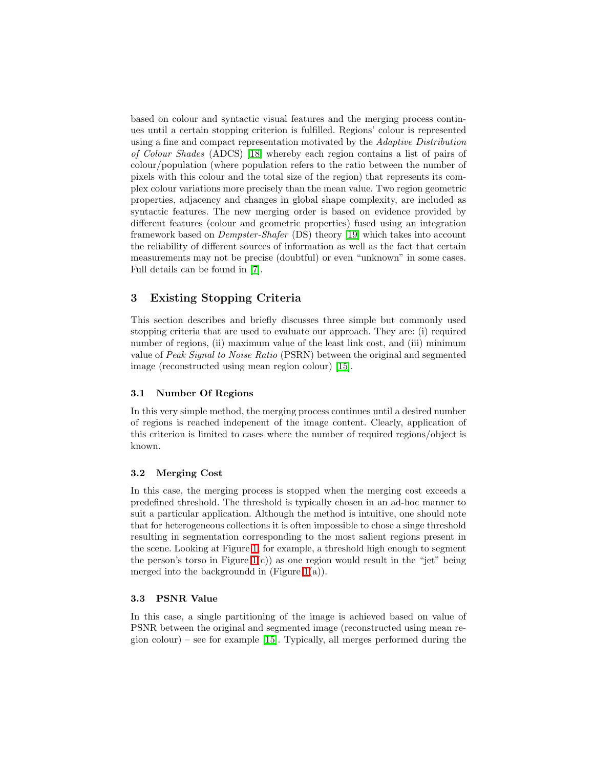based on colour and syntactic visual features and the merging process continues until a certain stopping criterion is fulfilled. Regions' colour is represented using a fine and compact representation motivated by the Adaptive Distribution of Colour Shades (ADCS) [\[18\]](#page-10-15) whereby each region contains a list of pairs of colour/population (where population refers to the ratio between the number of pixels with this colour and the total size of the region) that represents its complex colour variations more precisely than the mean value. Two region geometric properties, adjacency and changes in global shape complexity, are included as syntactic features. The new merging order is based on evidence provided by different features (colour and geometric properties) fused using an integration framework based on Dempster-Shafer (DS) theory [\[19\]](#page-10-16) which takes into account the reliability of different sources of information as well as the fact that certain measurements may not be precise (doubtful) or even "unknown" in some cases. Full details can be found in [\[7\]](#page-10-4).

# <span id="page-4-0"></span>3 Existing Stopping Criteria

This section describes and briefly discusses three simple but commonly used stopping criteria that are used to evaluate our approach. They are: (i) required number of regions, (ii) maximum value of the least link cost, and (iii) minimum value of Peak Signal to Noise Ratio (PSRN) between the original and segmented image (reconstructed using mean region colour) [\[15\]](#page-10-12).

### 3.1 Number Of Regions

In this very simple method, the merging process continues until a desired number of regions is reached indepenent of the image content. Clearly, application of this criterion is limited to cases where the number of required regions/object is known.

### 3.2 Merging Cost

In this case, the merging process is stopped when the merging cost exceeds a predefined threshold. The threshold is typically chosen in an ad-hoc manner to suit a particular application. Although the method is intuitive, one should note that for heterogeneous collections it is often impossible to chose a singe threshold resulting in segmentation corresponding to the most salient regions present in the scene. Looking at Figure [1,](#page-6-0) for example, a threshold high enough to segment the person's torso in Figure  $1(c)$  as one region would result in the "jet" being merged into the backgroundd in (Figure  $1(a)$ ).

#### 3.3 PSNR Value

In this case, a single partitioning of the image is achieved based on value of PSNR between the original and segmented image (reconstructed using mean region colour) – see for example [\[15\]](#page-10-12). Typically, all merges performed during the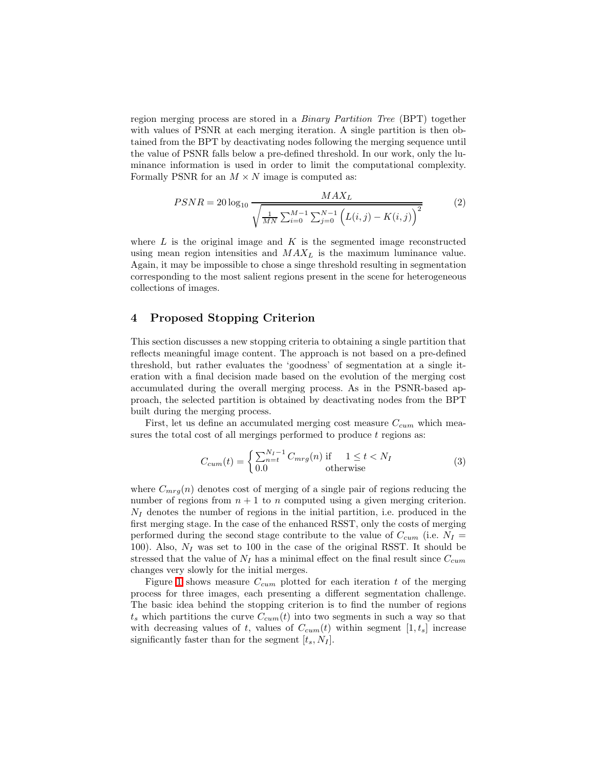region merging process are stored in a Binary Partition Tree (BPT) together with values of PSNR at each merging iteration. A single partition is then obtained from the BPT by deactivating nodes following the merging sequence until the value of PSNR falls below a pre-defined threshold. In our work, only the luminance information is used in order to limit the computational complexity. Formally PSNR for an  $M \times N$  image is computed as:

$$
PSNR = 20 \log_{10} \frac{MAX_L}{\sqrt{\frac{1}{MN} \sum_{i=0}^{M-1} \sum_{j=0}^{N-1} \left( L(i,j) - K(i,j) \right)^2}}
$$
(2)

where  $L$  is the original image and  $K$  is the segmented image reconstructed using mean region intensities and  $MAX<sub>L</sub>$  is the maximum luminance value. Again, it may be impossible to chose a singe threshold resulting in segmentation corresponding to the most salient regions present in the scene for heterogeneous collections of images.

# <span id="page-5-0"></span>4 Proposed Stopping Criterion

This section discusses a new stopping criteria to obtaining a single partition that reflects meaningful image content. The approach is not based on a pre-defined threshold, but rather evaluates the 'goodness' of segmentation at a single iteration with a final decision made based on the evolution of the merging cost accumulated during the overall merging process. As in the PSNR-based approach, the selected partition is obtained by deactivating nodes from the BPT built during the merging process.

First, let us define an accumulated merging cost measure  $C_{cum}$  which measures the total cost of all mergings performed to produce  $t$  regions as:

$$
C_{cum}(t) = \begin{cases} \sum_{n=t}^{N_I - 1} C_{mrg}(n) & \text{if } 1 \le t < N_I\\ 0.0 & \text{otherwise} \end{cases} \tag{3}
$$

where  $C_{mrg}(n)$  denotes cost of merging of a single pair of regions reducing the number of regions from  $n + 1$  to n computed using a given merging criterion.  $N_I$  denotes the number of regions in the initial partition, i.e. produced in the first merging stage. In the case of the enhanced RSST, only the costs of merging performed during the second stage contribute to the value of  $C_{cum}$  (i.e.  $N_I =$ 100). Also,  $N_I$  was set to 100 in the case of the original RSST. It should be stressed that the value of  $N_I$  has a minimal effect on the final result since  $C_{cum}$ changes very slowly for the initial merges.

Figure [1](#page-6-0) shows measure  $C_{cum}$  plotted for each iteration t of the merging process for three images, each presenting a different segmentation challenge. The basic idea behind the stopping criterion is to find the number of regions  $t_s$  which partitions the curve  $C_{cum}(t)$  into two segments in such a way so that with decreasing values of t, values of  $C_{cum}(t)$  within segment  $[1, t_s]$  increase significantly faster than for the segment  $[t_s, N_I]$ .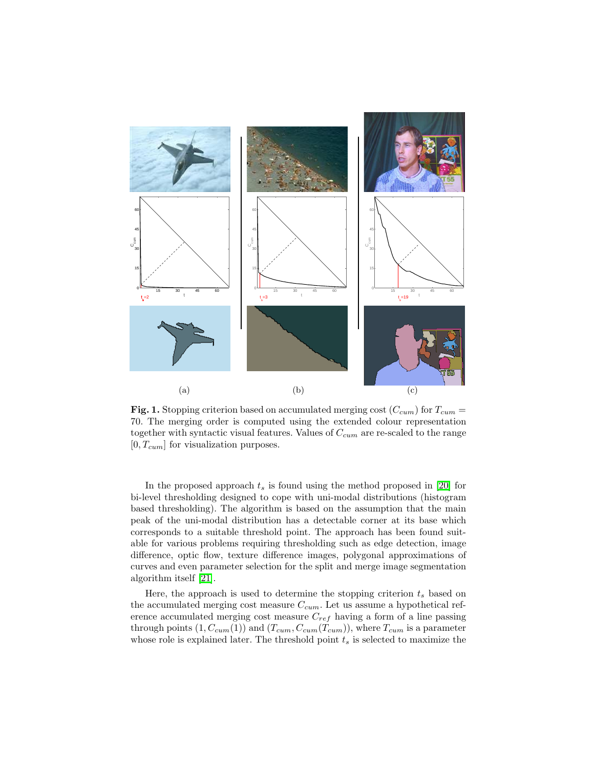

<span id="page-6-0"></span>Fig. 1. Stopping criterion based on accumulated merging cost  $(C_{cum})$  for  $T_{cum}$  = 70. The merging order is computed using the extended colour representation together with syntactic visual features. Values of  $C_{cum}$  are re-scaled to the range  $[0, T_{cum}]$  for visualization purposes.

In the proposed approach  $t_s$  is found using the method proposed in [\[20\]](#page-11-0) for bi-level thresholding designed to cope with uni-modal distributions (histogram based thresholding). The algorithm is based on the assumption that the main peak of the uni-modal distribution has a detectable corner at its base which corresponds to a suitable threshold point. The approach has been found suitable for various problems requiring thresholding such as edge detection, image difference, optic flow, texture difference images, polygonal approximations of curves and even parameter selection for the split and merge image segmentation algorithm itself [\[21\]](#page-11-1).

Here, the approach is used to determine the stopping criterion  $t_s$  based on the accumulated merging cost measure  $C_{cum}$ . Let us assume a hypothetical reference accumulated merging cost measure  $C_{ref}$  having a form of a line passing through points  $(1, C_{cum}(1))$  and  $(T_{cum}, C_{cum}(T_{cum}))$ , where  $T_{cum}$  is a parameter whose role is explained later. The threshold point  $t_s$  is selected to maximize the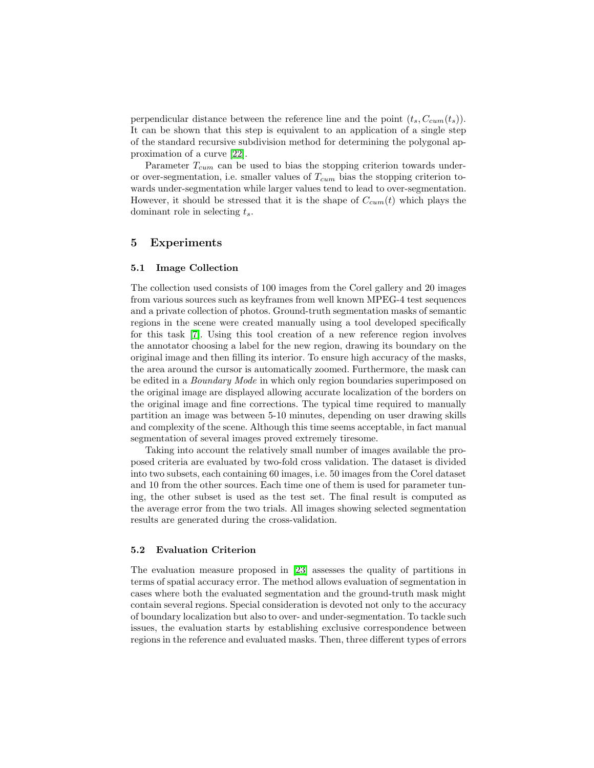perpendicular distance between the reference line and the point  $(t_s, C_{cum}(t_s))$ . It can be shown that this step is equivalent to an application of a single step of the standard recursive subdivision method for determining the polygonal approximation of a curve [\[22\]](#page-11-2).

Parameter  $T_{cum}$  can be used to bias the stopping criterion towards underor over-segmentation, i.e. smaller values of  $T_{cum}$  bias the stopping criterion towards under-segmentation while larger values tend to lead to over-segmentation. However, it should be stressed that it is the shape of  $C_{cum}(t)$  which plays the dominant role in selecting  $t_s$ .

# <span id="page-7-0"></span>5 Experiments

#### 5.1 Image Collection

The collection used consists of 100 images from the Corel gallery and 20 images from various sources such as keyframes from well known MPEG-4 test sequences and a private collection of photos. Ground-truth segmentation masks of semantic regions in the scene were created manually using a tool developed specifically for this task [\[7\]](#page-10-4). Using this tool creation of a new reference region involves the annotator choosing a label for the new region, drawing its boundary on the original image and then filling its interior. To ensure high accuracy of the masks, the area around the cursor is automatically zoomed. Furthermore, the mask can be edited in a Boundary Mode in which only region boundaries superimposed on the original image are displayed allowing accurate localization of the borders on the original image and fine corrections. The typical time required to manually partition an image was between 5-10 minutes, depending on user drawing skills and complexity of the scene. Although this time seems acceptable, in fact manual segmentation of several images proved extremely tiresome.

Taking into account the relatively small number of images available the proposed criteria are evaluated by two-fold cross validation. The dataset is divided into two subsets, each containing 60 images, i.e. 50 images from the Corel dataset and 10 from the other sources. Each time one of them is used for parameter tuning, the other subset is used as the test set. The final result is computed as the average error from the two trials. All images showing selected segmentation results are generated during the cross-validation.

#### 5.2 Evaluation Criterion

The evaluation measure proposed in [\[23\]](#page-11-3) assesses the quality of partitions in terms of spatial accuracy error. The method allows evaluation of segmentation in cases where both the evaluated segmentation and the ground-truth mask might contain several regions. Special consideration is devoted not only to the accuracy of boundary localization but also to over- and under-segmentation. To tackle such issues, the evaluation starts by establishing exclusive correspondence between regions in the reference and evaluated masks. Then, three different types of errors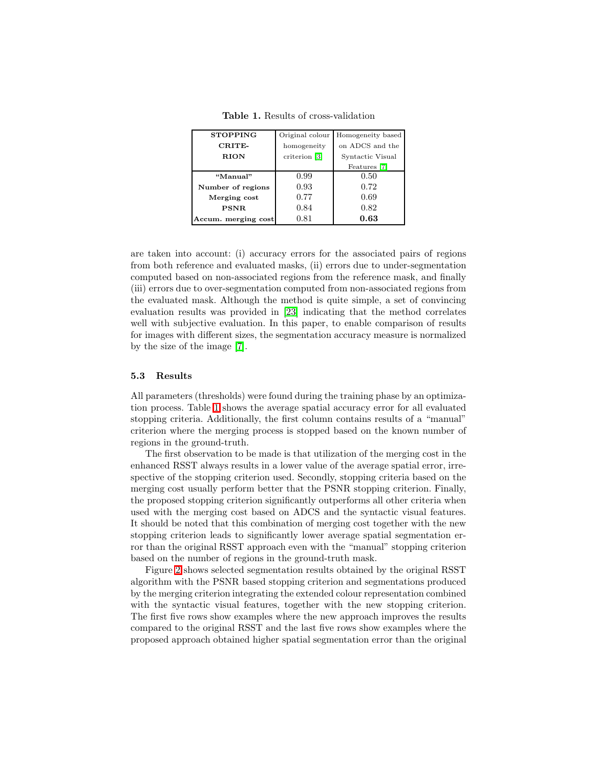<span id="page-8-0"></span>

| <b>STOPPING</b>     | Original colour | Homogeneity based |
|---------------------|-----------------|-------------------|
| CRITE-              | homogeneity     | on ADCS and the   |
| <b>RION</b>         | criterion [3]   | Syntactic Visual  |
|                     |                 | Features [7]      |
| $M$ anual"          | 0.99            | 0.50              |
| Number of regions   | 0.93            | 0.72              |
| Merging cost        | 0.77            | 0.69              |
| <b>PSNR</b>         | 0.84            | 0.82              |
| Accum. merging cost | 0.81            | 0.63              |

Table 1. Results of cross-validation

are taken into account: (i) accuracy errors for the associated pairs of regions from both reference and evaluated masks, (ii) errors due to under-segmentation computed based on non-associated regions from the reference mask, and finally (iii) errors due to over-segmentation computed from non-associated regions from the evaluated mask. Although the method is quite simple, a set of convincing evaluation results was provided in [\[23\]](#page-11-3) indicating that the method correlates well with subjective evaluation. In this paper, to enable comparison of results for images with different sizes, the segmentation accuracy measure is normalized by the size of the image [\[7\]](#page-10-4).

#### 5.3 Results

All parameters (thresholds) were found during the training phase by an optimization process. Table [1](#page-8-0) shows the average spatial accuracy error for all evaluated stopping criteria. Additionally, the first column contains results of a "manual" criterion where the merging process is stopped based on the known number of regions in the ground-truth.

The first observation to be made is that utilization of the merging cost in the enhanced RSST always results in a lower value of the average spatial error, irrespective of the stopping criterion used. Secondly, stopping criteria based on the merging cost usually perform better that the PSNR stopping criterion. Finally, the proposed stopping criterion significantly outperforms all other criteria when used with the merging cost based on ADCS and the syntactic visual features. It should be noted that this combination of merging cost together with the new stopping criterion leads to significantly lower average spatial segmentation error than the original RSST approach even with the "manual" stopping criterion based on the number of regions in the ground-truth mask.

Figure [2](#page-12-0) shows selected segmentation results obtained by the original RSST algorithm with the PSNR based stopping criterion and segmentations produced by the merging criterion integrating the extended colour representation combined with the syntactic visual features, together with the new stopping criterion. The first five rows show examples where the new approach improves the results compared to the original RSST and the last five rows show examples where the proposed approach obtained higher spatial segmentation error than the original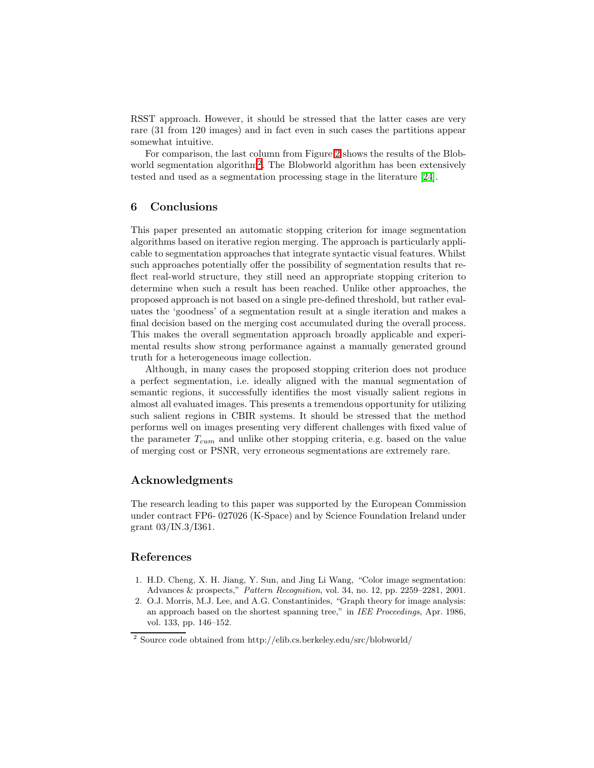RSST approach. However, it should be stressed that the latter cases are very rare (31 from 120 images) and in fact even in such cases the partitions appear somewhat intuitive.

For comparison, the last column from Figure [2](#page-12-0) shows the results of the Blob-world segmentation algorithm<sup>[2](#page-9-3)</sup>. The Blobworld algorithm has been extensively tested and used as a segmentation processing stage in the literature [\[24\]](#page-11-4).

# <span id="page-9-2"></span>6 Conclusions

This paper presented an automatic stopping criterion for image segmentation algorithms based on iterative region merging. The approach is particularly applicable to segmentation approaches that integrate syntactic visual features. Whilst such approaches potentially offer the possibility of segmentation results that reflect real-world structure, they still need an appropriate stopping criterion to determine when such a result has been reached. Unlike other approaches, the proposed approach is not based on a single pre-defined threshold, but rather evaluates the 'goodness' of a segmentation result at a single iteration and makes a final decision based on the merging cost accumulated during the overall process. This makes the overall segmentation approach broadly applicable and experimental results show strong performance against a manually generated ground truth for a heterogeneous image collection.

Although, in many cases the proposed stopping criterion does not produce a perfect segmentation, i.e. ideally aligned with the manual segmentation of semantic regions, it successfully identifies the most visually salient regions in almost all evaluated images. This presents a tremendous opportunity for utilizing such salient regions in CBIR systems. It should be stressed that the method performs well on images presenting very different challenges with fixed value of the parameter  $T_{cum}$  and unlike other stopping criteria, e.g. based on the value of merging cost or PSNR, very erroneous segmentations are extremely rare.

### Acknowledgments

The research leading to this paper was supported by the European Commission under contract FP6- 027026 (K-Space) and by Science Foundation Ireland under grant 03/IN.3/I361.

# <span id="page-9-0"></span>References

- 1. H.D. Cheng, X. H. Jiang, Y. Sun, and Jing Li Wang, "Color image segmentation: Advances & prospects," Pattern Recognition, vol. 34, no. 12, pp. 2259–2281, 2001.
- <span id="page-9-1"></span>2. O.J. Morris, M.J. Lee, and A.G. Constantinides, "Graph theory for image analysis: an approach based on the shortest spanning tree," in IEE Proceedings, Apr. 1986, vol. 133, pp. 146–152.

<span id="page-9-3"></span><sup>2</sup> Source code obtained from http://elib.cs.berkeley.edu/src/blobworld/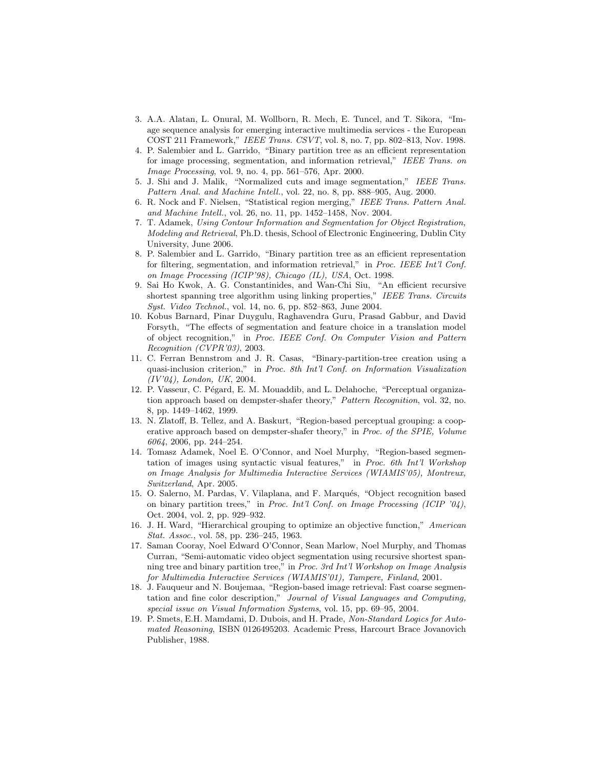- <span id="page-10-0"></span>3. A.A. Alatan, L. Onural, M. Wollborn, R. Mech, E. Tuncel, and T. Sikora, "Image sequence analysis for emerging interactive multimedia services - the European COST 211 Framework," IEEE Trans. CSVT, vol. 8, no. 7, pp. 802–813, Nov. 1998.
- <span id="page-10-1"></span>4. P. Salembier and L. Garrido, "Binary partition tree as an efficient representation for image processing, segmentation, and information retrieval," IEEE Trans. on Image Processing, vol. 9, no. 4, pp. 561–576, Apr. 2000.
- <span id="page-10-3"></span><span id="page-10-2"></span>5. J. Shi and J. Malik, "Normalized cuts and image segmentation," IEEE Trans. Pattern Anal. and Machine Intell., vol. 22, no. 8, pp. 888–905, Aug. 2000.
- 6. R. Nock and F. Nielsen, "Statistical region merging," IEEE Trans. Pattern Anal. and Machine Intell., vol. 26, no. 11, pp. 1452–1458, Nov. 2004.
- <span id="page-10-4"></span>7. T. Adamek, Using Contour Information and Segmentation for Object Registration, Modeling and Retrieval, Ph.D. thesis, School of Electronic Engineering, Dublin City University, June 2006.
- <span id="page-10-5"></span>8. P. Salembier and L. Garrido, "Binary partition tree as an efficient representation for filtering, segmentation, and information retrieval," in Proc. IEEE Int'l Conf. on Image Processing (ICIP'98), Chicago (IL), USA, Oct. 1998.
- <span id="page-10-6"></span>9. Sai Ho Kwok, A. G. Constantinides, and Wan-Chi Siu, "An efficient recursive shortest spanning tree algorithm using linking properties," IEEE Trans. Circuits Syst. Video Technol., vol. 14, no. 6, pp. 852–863, June 2004.
- <span id="page-10-7"></span>10. Kobus Barnard, Pinar Duygulu, Raghavendra Guru, Prasad Gabbur, and David Forsyth, "The effects of segmentation and feature choice in a translation model of object recognition," in Proc. IEEE Conf. On Computer Vision and Pattern Recognition (CVPR'03), 2003.
- <span id="page-10-8"></span>11. C. Ferran Bennstrom and J. R. Casas, "Binary-partition-tree creation using a quasi-inclusion criterion," in Proc. 8th Int'l Conf. on Information Visualization (IV'04), London, UK, 2004.
- <span id="page-10-9"></span>12. P. Vasseur, C. Pégard, E. M. Mouaddib, and L. Delahoche, "Perceptual organization approach based on dempster-shafer theory," Pattern Recognition, vol. 32, no. 8, pp. 1449–1462, 1999.
- <span id="page-10-10"></span>13. N. Zlatoff, B. Tellez, and A. Baskurt, "Region-based perceptual grouping: a cooperative approach based on dempster-shafer theory," in Proc. of the SPIE, Volume 6064, 2006, pp. 244–254.
- <span id="page-10-11"></span>14. Tomasz Adamek, Noel E. O'Connor, and Noel Murphy, "Region-based segmentation of images using syntactic visual features," in Proc. 6th Int'l Workshop on Image Analysis for Multimedia Interactive Services (WIAMIS'05), Montreux, Switzerland, Apr. 2005.
- <span id="page-10-12"></span>15. O. Salerno, M. Pardas, V. Vilaplana, and F. Marqués, "Object recognition based on binary partition trees," in Proc. Int'l Conf. on Image Processing (ICIP '04), Oct. 2004, vol. 2, pp. 929–932.
- <span id="page-10-13"></span>16. J. H. Ward, "Hierarchical grouping to optimize an objective function," American Stat. Assoc., vol. 58, pp. 236–245, 1963.
- <span id="page-10-14"></span>17. Saman Cooray, Noel Edward O'Connor, Sean Marlow, Noel Murphy, and Thomas Curran, "Semi-automatic video object segmentation using recursive shortest spanning tree and binary partition tree," in Proc. 3rd Int'l Workshop on Image Analysis for Multimedia Interactive Services (WIAMIS'01), Tampere, Finland, 2001.
- <span id="page-10-15"></span>18. J. Fauqueur and N. Boujemaa, "Region-based image retrieval: Fast coarse segmentation and fine color description," Journal of Visual Languages and Computing, special issue on Visual Information Systems, vol. 15, pp. 69–95, 2004.
- <span id="page-10-16"></span>19. P. Smets, E.H. Mamdami, D. Dubois, and H. Prade, Non-Standard Logics for Automated Reasoning, ISBN 0126495203. Academic Press, Harcourt Brace Jovanovich Publisher, 1988.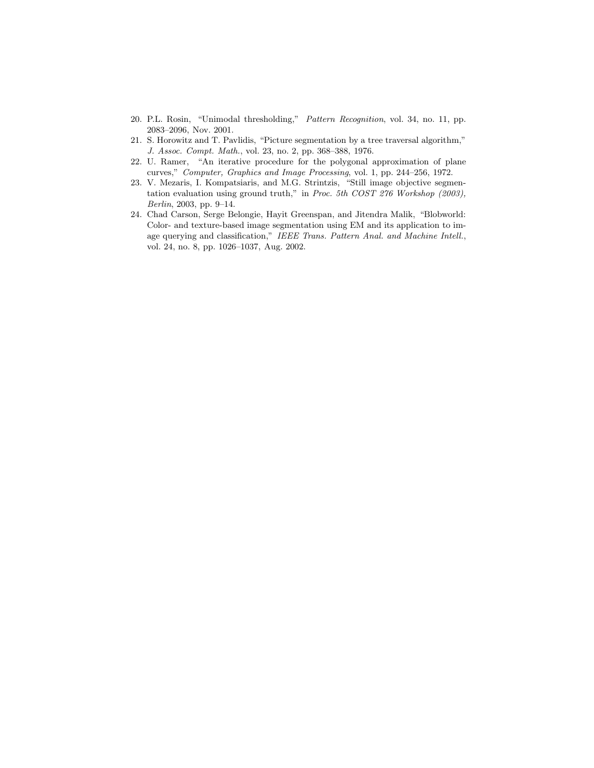- <span id="page-11-1"></span><span id="page-11-0"></span>20. P.L. Rosin, "Unimodal thresholding," Pattern Recognition, vol. 34, no. 11, pp. 2083–2096, Nov. 2001.
- 21. S. Horowitz and T. Pavlidis, "Picture segmentation by a tree traversal algorithm," J. Assoc. Compt. Math., vol. 23, no. 2, pp. 368–388, 1976.
- <span id="page-11-2"></span>22. U. Ramer, "An iterative procedure for the polygonal approximation of plane curves," Computer, Graphics and Image Processing, vol. 1, pp. 244–256, 1972.
- <span id="page-11-3"></span>23. V. Mezaris, I. Kompatsiaris, and M.G. Strintzis, "Still image objective segmentation evaluation using ground truth," in Proc. 5th COST 276 Workshop (2003), Berlin, 2003, pp. 9–14.
- <span id="page-11-4"></span>24. Chad Carson, Serge Belongie, Hayit Greenspan, and Jitendra Malik, "Blobworld: Color- and texture-based image segmentation using EM and its application to image querying and classification," IEEE Trans. Pattern Anal. and Machine Intell., vol. 24, no. 8, pp. 1026–1037, Aug. 2002.